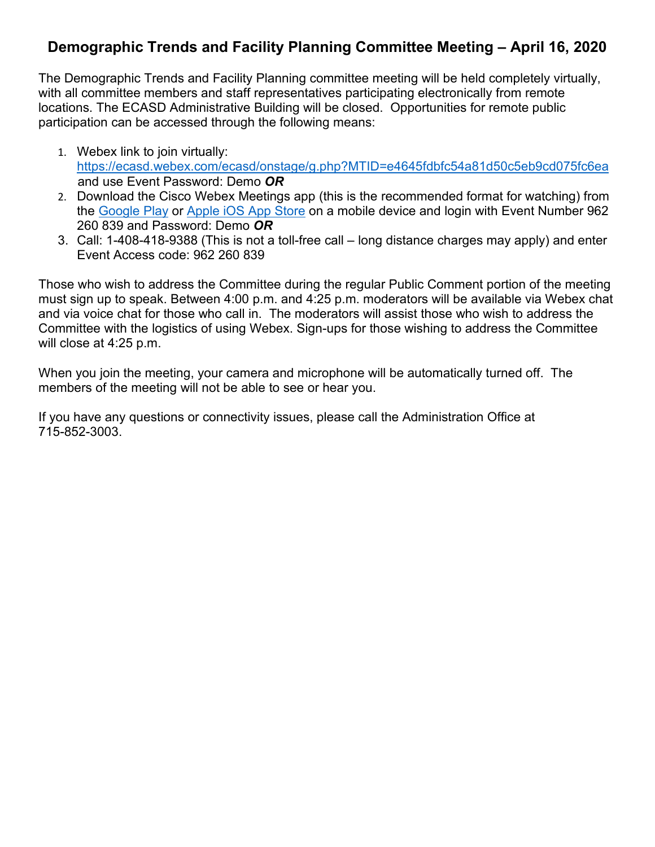## **Demographic Trends and Facility Planning Committee Meeting – April 16, 2020**

The Demographic Trends and Facility Planning committee meeting will be held completely virtually, with all committee members and staff representatives participating electronically from remote locations. The ECASD Administrative Building will be closed. Opportunities for remote public participation can be accessed through the following means:

- 1. Webex link to join virtually: <https://ecasd.webex.com/ecasd/onstage/g.php?MTID=e4645fdbfc54a81d50c5eb9cd075fc6ea> and use Event Password: Demo *OR*
- 2. Download the Cisco Webex Meetings app (this is the recommended format for watching) from the [Google Play](https://play.google.com/store/apps/details?id=com.cisco.webex.meetings) or [Apple iOS App Store](https://itunes.apple.com/us/app/cisco-webex-meetings/id298844386) on a mobile device and login with Event Number 962 260 839 and Password: Demo *OR*
- 3. Call: 1-408-418-9388 (This is not a toll-free call long distance charges may apply) and enter Event Access code: 962 260 839

Those who wish to address the Committee during the regular Public Comment portion of the meeting must sign up to speak. Between 4:00 p.m. and 4:25 p.m. moderators will be available via Webex chat and via voice chat for those who call in. The moderators will assist those who wish to address the Committee with the logistics of using Webex. Sign-ups for those wishing to address the Committee will close at 4:25 p.m.

When you join the meeting, your camera and microphone will be automatically turned off. The members of the meeting will not be able to see or hear you.

If you have any questions or connectivity issues, please call the Administration Office at 715-852-3003.